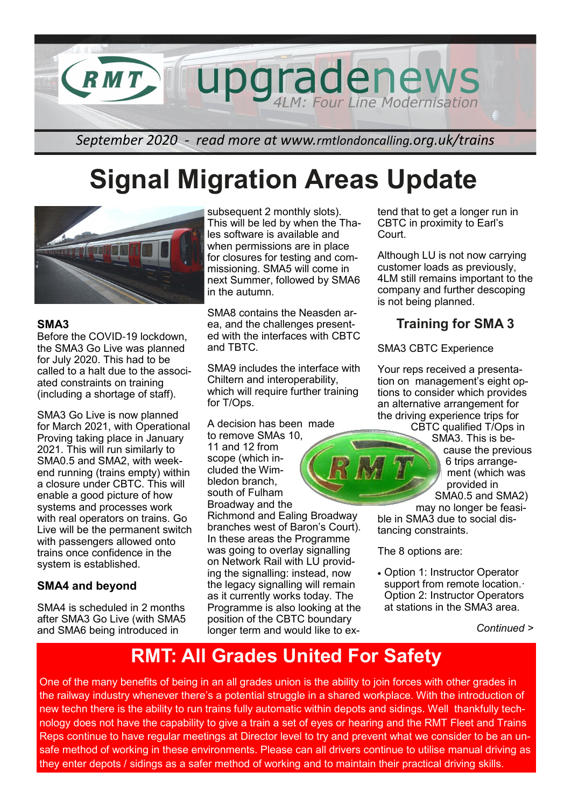

## **Signal Migration Areas Update**



### **SMA3**

Before the COVID-19 lockdown, the SMA3 Go Live was planned for July 2020. This had to be called to a halt due to the associated constraints on training (including a shortage of staff).

SMA3 Go Live is now planned for March 2021, with Operational Proving taking place in January 2021. This will run similarly to SMA0.5 and SMA2, with weekend running (trains empty) within a closure under CBTC. This will enable a good picture of how systems and processes work with real operators on trains. Go Live will be the permanent switch with passengers allowed onto trains once confidence in the system is established.

## **SMA4 and beyond**

SMA4 is scheduled in 2 months after SMA3 Go Live (with SMA5 and SMA6 being introduced in

subsequent 2 monthly slots). This will be led by when the Thales software is available and when permissions are in place for closures for testing and commissioning. SMA5 will come in next Summer, followed by SMA6 in the autumn.

SMA8 contains the Neasden area, and the challenges presented with the interfaces with CBTC and TBTC.

SMA9 includes the interface with Chiltern and interoperability, which will require further training for T/Ops.

A decision has been made

to remove SMAs 10, 11 and 12 from scope (which included the Wimbledon branch, south of Fulham Broadway and the

Richmond and Ealing Broadway branches west of Baron's Court). In these areas the Programme was going to overlay signalling on Network Rail with LU providing the signalling: instead, now the legacy signalling will remain as it currently works today. The Programme is also looking at the position of the CBTC boundary longer term and would like to extend that to get a longer run in CBTC in proximity to Earl's Court.

Although LU is not now carrying customer loads as previously, 4LM still remains important to the company and further descoping is not being planned.

## **Training for SMA 3**

### SMA3 CBTC Experience

Your reps received a presentation on management's eight options to consider which provides an alternative arrangement for the driving experience trips for

CBTC qualified T/Ops in SMA3. This is because the previous 6 trips arrangement (which was provided in SMA0.5 and SMA2)

may no longer be feasible in SMA3 due to social distancing constraints.

The 8 options are:

• Option 1: Instructor Operator support from remote location. Option 2: Instructor Operators at stations in the SMA3 area.

*Continued >*

## **RMT: All Grades United For Safety**

One of the many benefits of being in an all grades union is the ability to join forces with other grades in the railway industry whenever there's a potential struggle in a shared workplace. With the introduction of new techn there is the ability to run trains fully automatic within depots and sidings. Well thankfully technology does not have the capability to give a train a set of eyes or hearing and the RMT Fleet and Trains Reps continue to have regular meetings at Director level to try and prevent what we consider to be an unsafe method of working in these environments. Please can all drivers continue to utilise manual driving as they enter depots / sidings as a safer method of working and to maintain their practical driving skills.